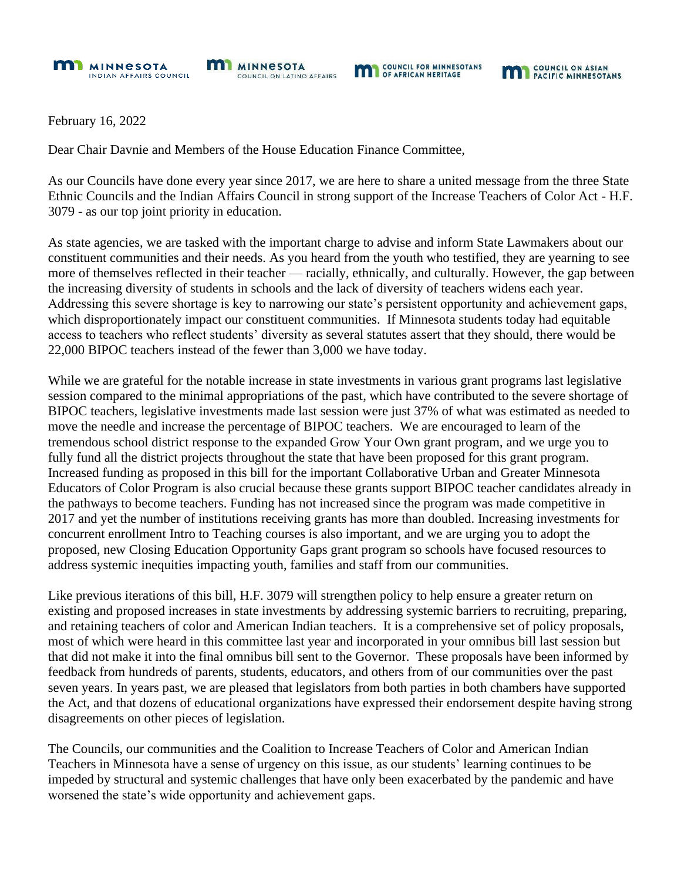



February 16, 2022

Dear Chair Davnie and Members of the House Education Finance Committee,

As our Councils have done every year since 2017, we are here to share a united message from the three State Ethnic Councils and the Indian Affairs Council in strong support of the Increase Teachers of Color Act - H.F. 3079 - as our top joint priority in education.

As state agencies, we are tasked with the important charge to advise and inform State Lawmakers about our constituent communities and their needs. As you heard from the youth who testified, they are yearning to see more of themselves reflected in their teacher — racially, ethnically, and culturally. However, the gap between the increasing diversity of students in schools and the lack of diversity of teachers widens each year. Addressing this severe shortage is key to narrowing our state's persistent opportunity and achievement gaps, which disproportionately impact our constituent communities. If Minnesota students today had equitable access to teachers who reflect students' diversity as several statutes assert that they should, there would be 22,000 BIPOC teachers instead of the fewer than 3,000 we have today.

While we are grateful for the notable increase in state investments in various grant programs last legislative session compared to the minimal appropriations of the past, which have contributed to the severe shortage of BIPOC teachers, legislative investments made last session were just 37% of what was estimated as needed to move the needle and increase the percentage of BIPOC teachers. We are encouraged to learn of the tremendous school district response to the expanded Grow Your Own grant program, and we urge you to fully fund all the district projects throughout the state that have been proposed for this grant program. Increased funding as proposed in this bill for the important Collaborative Urban and Greater Minnesota Educators of Color Program is also crucial because these grants support BIPOC teacher candidates already in the pathways to become teachers. Funding has not increased since the program was made competitive in 2017 and yet the number of institutions receiving grants has more than doubled. Increasing investments for concurrent enrollment Intro to Teaching courses is also important, and we are urging you to adopt the proposed, new Closing Education Opportunity Gaps grant program so schools have focused resources to address systemic inequities impacting youth, families and staff from our communities.

Like previous iterations of this bill, H.F. 3079 will strengthen policy to help ensure a greater return on existing and proposed increases in state investments by addressing systemic barriers to recruiting, preparing, and retaining teachers of color and American Indian teachers. It is a comprehensive set of policy proposals, most of which were heard in this committee last year and incorporated in your omnibus bill last session but that did not make it into the final omnibus bill sent to the Governor. These proposals have been informed by feedback from hundreds of parents, students, educators, and others from of our communities over the past seven years. In years past, we are pleased that legislators from both parties in both chambers have supported the Act, and that dozens of educational organizations have expressed their endorsement despite having strong disagreements on other pieces of legislation.

The Councils, our communities and the Coalition to Increase Teachers of Color and American Indian Teachers in Minnesota have a sense of urgency on this issue, as our students' learning continues to be impeded by structural and systemic challenges that have only been exacerbated by the pandemic and have worsened the state's wide opportunity and achievement gaps.